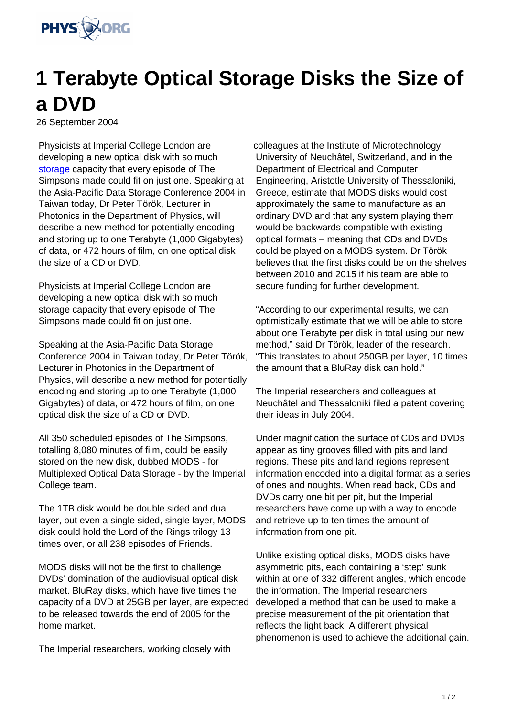

## **1 Terabyte Optical Storage Disks the Size of a DVD**

26 September 2004

Physicists at Imperial College London are developing a new optical disk with so much [storage](http://www.physorg.com/search/storage) capacity that every episode of The Simpsons made could fit on just one. Speaking at the Asia-Pacific Data Storage Conference 2004 in Taiwan today, Dr Peter Török, Lecturer in Photonics in the Department of Physics, will describe a new method for potentially encoding and storing up to one Terabyte (1,000 Gigabytes) of data, or 472 hours of film, on one optical disk the size of a CD or DVD.

Physicists at Imperial College London are developing a new optical disk with so much storage capacity that every episode of The Simpsons made could fit on just one.

Speaking at the Asia-Pacific Data Storage Conference 2004 in Taiwan today, Dr Peter Török, Lecturer in Photonics in the Department of Physics, will describe a new method for potentially encoding and storing up to one Terabyte (1,000 Gigabytes) of data, or 472 hours of film, on one optical disk the size of a CD or DVD.

All 350 scheduled episodes of The Simpsons, totalling 8,080 minutes of film, could be easily stored on the new disk, dubbed MODS - for Multiplexed Optical Data Storage - by the Imperial College team.

The 1TB disk would be double sided and dual layer, but even a single sided, single layer, MODS disk could hold the Lord of the Rings trilogy 13 times over, or all 238 episodes of Friends.

MODS disks will not be the first to challenge DVDs' domination of the audiovisual optical disk market. BluRay disks, which have five times the capacity of a DVD at 25GB per layer, are expected to be released towards the end of 2005 for the home market.

The Imperial researchers, working closely with

colleagues at the Institute of Microtechnology, University of Neuchâtel, Switzerland, and in the Department of Electrical and Computer Engineering, Aristotle University of Thessaloniki, Greece, estimate that MODS disks would cost approximately the same to manufacture as an ordinary DVD and that any system playing them would be backwards compatible with existing optical formats – meaning that CDs and DVDs could be played on a MODS system. Dr Török believes that the first disks could be on the shelves between 2010 and 2015 if his team are able to secure funding for further development.

"According to our experimental results, we can optimistically estimate that we will be able to store about one Terabyte per disk in total using our new method," said Dr Török, leader of the research. "This translates to about 250GB per layer, 10 times the amount that a BluRay disk can hold."

The Imperial researchers and colleagues at Neuchâtel and Thessaloniki filed a patent covering their ideas in July 2004.

Under magnification the surface of CDs and DVDs appear as tiny grooves filled with pits and land regions. These pits and land regions represent information encoded into a digital format as a series of ones and noughts. When read back, CDs and DVDs carry one bit per pit, but the Imperial researchers have come up with a way to encode and retrieve up to ten times the amount of information from one pit.

Unlike existing optical disks, MODS disks have asymmetric pits, each containing a 'step' sunk within at one of 332 different angles, which encode the information. The Imperial researchers developed a method that can be used to make a precise measurement of the pit orientation that reflects the light back. A different physical phenomenon is used to achieve the additional gain.